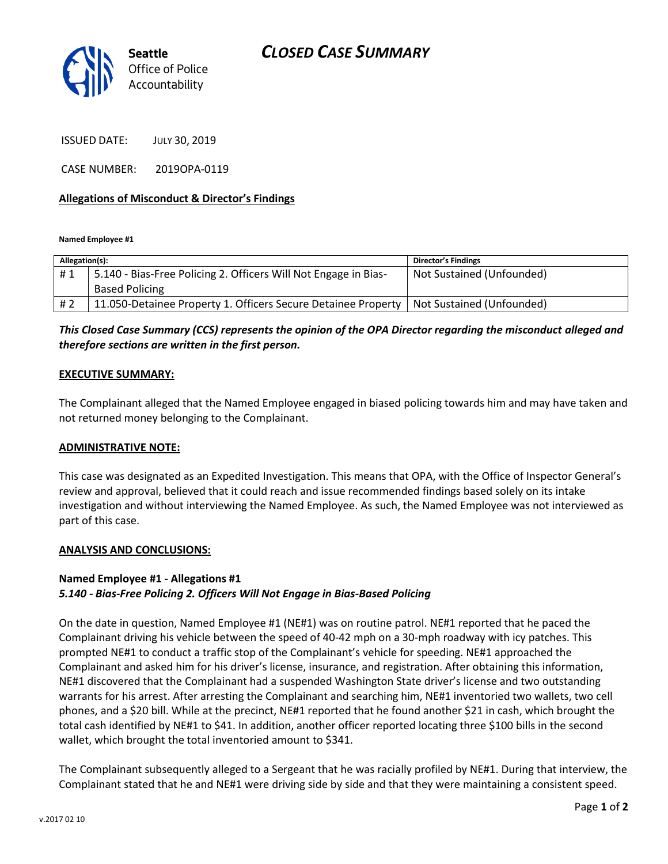

ISSUED DATE: JULY 30, 2019

CASE NUMBER: 2019OPA-0119

### **Allegations of Misconduct & Director's Findings**

**Named Employee #1**

| Allegation(s): |                                                                 | <b>Director's Findings</b> |
|----------------|-----------------------------------------------------------------|----------------------------|
| #1             | 5.140 - Bias-Free Policing 2. Officers Will Not Engage in Bias- | Not Sustained (Unfounded)  |
|                | <b>Based Policing</b>                                           |                            |
| # 2            | 11.050-Detainee Property 1. Officers Secure Detainee Property   | Not Sustained (Unfounded)  |
|                |                                                                 |                            |

# *This Closed Case Summary (CCS) represents the opinion of the OPA Director regarding the misconduct alleged and therefore sections are written in the first person.*

### **EXECUTIVE SUMMARY:**

The Complainant alleged that the Named Employee engaged in biased policing towards him and may have taken and not returned money belonging to the Complainant.

### **ADMINISTRATIVE NOTE:**

This case was designated as an Expedited Investigation. This means that OPA, with the Office of Inspector General's review and approval, believed that it could reach and issue recommended findings based solely on its intake investigation and without interviewing the Named Employee. As such, the Named Employee was not interviewed as part of this case.

### **ANALYSIS AND CONCLUSIONS:**

# **Named Employee #1 - Allegations #1**

## *5.140 - Bias-Free Policing 2. Officers Will Not Engage in Bias-Based Policing*

On the date in question, Named Employee #1 (NE#1) was on routine patrol. NE#1 reported that he paced the Complainant driving his vehicle between the speed of 40-42 mph on a 30-mph roadway with icy patches. This prompted NE#1 to conduct a traffic stop of the Complainant's vehicle for speeding. NE#1 approached the Complainant and asked him for his driver's license, insurance, and registration. After obtaining this information, NE#1 discovered that the Complainant had a suspended Washington State driver's license and two outstanding warrants for his arrest. After arresting the Complainant and searching him, NE#1 inventoried two wallets, two cell phones, and a \$20 bill. While at the precinct, NE#1 reported that he found another \$21 in cash, which brought the total cash identified by NE#1 to \$41. In addition, another officer reported locating three \$100 bills in the second wallet, which brought the total inventoried amount to \$341.

The Complainant subsequently alleged to a Sergeant that he was racially profiled by NE#1. During that interview, the Complainant stated that he and NE#1 were driving side by side and that they were maintaining a consistent speed.